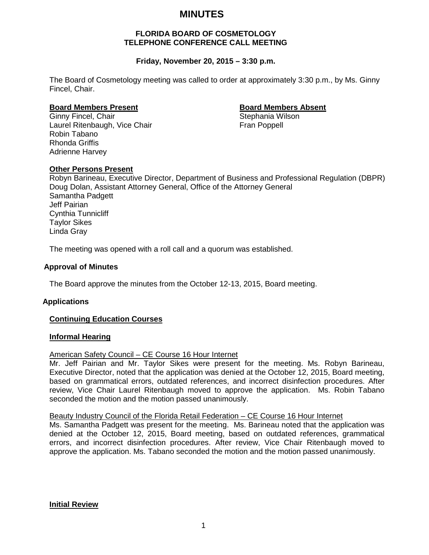## **MINUTES**

#### **FLORIDA BOARD OF COSMETOLOGY TELEPHONE CONFERENCE CALL MEETING**

#### **Friday, November 20, 2015 – 3:30 p.m.**

The Board of Cosmetology meeting was called to order at approximately 3:30 p.m., by Ms. Ginny Fincel, Chair.

# **Board Members Present Board Members Absent**

Ginny Fincel, Chair

Robin Tabano

Laurel Ritenbaugh, Vice Chair Fran Poppell

Rhonda Griffis Adrienne Harvey

#### **Other Persons Present**

Robyn Barineau, Executive Director, Department of Business and Professional Regulation (DBPR) Doug Dolan, Assistant Attorney General, Office of the Attorney General Samantha Padgett Jeff Pairian Cynthia Tunnicliff Taylor Sikes Linda Gray

The meeting was opened with a roll call and a quorum was established.

#### **Approval of Minutes**

The Board approve the minutes from the October 12-13, 2015, Board meeting.

#### **Applications**

#### **Continuing Education Courses**

#### **Informal Hearing**

#### American Safety Council – CE Course 16 Hour Internet

Mr. Jeff Pairian and Mr. Taylor Sikes were present for the meeting. Ms. Robyn Barineau, Executive Director, noted that the application was denied at the October 12, 2015, Board meeting, based on grammatical errors, outdated references, and incorrect disinfection procedures. After review, Vice Chair Laurel Ritenbaugh moved to approve the application. Ms. Robin Tabano seconded the motion and the motion passed unanimously.

#### Beauty Industry Council of the Florida Retail Federation – CE Course 16 Hour Internet

Ms. Samantha Padgett was present for the meeting. Ms. Barineau noted that the application was denied at the October 12, 2015, Board meeting, based on outdated references, grammatical errors, and incorrect disinfection procedures. After review, Vice Chair Ritenbaugh moved to approve the application. Ms. Tabano seconded the motion and the motion passed unanimously.

#### **Initial Review**